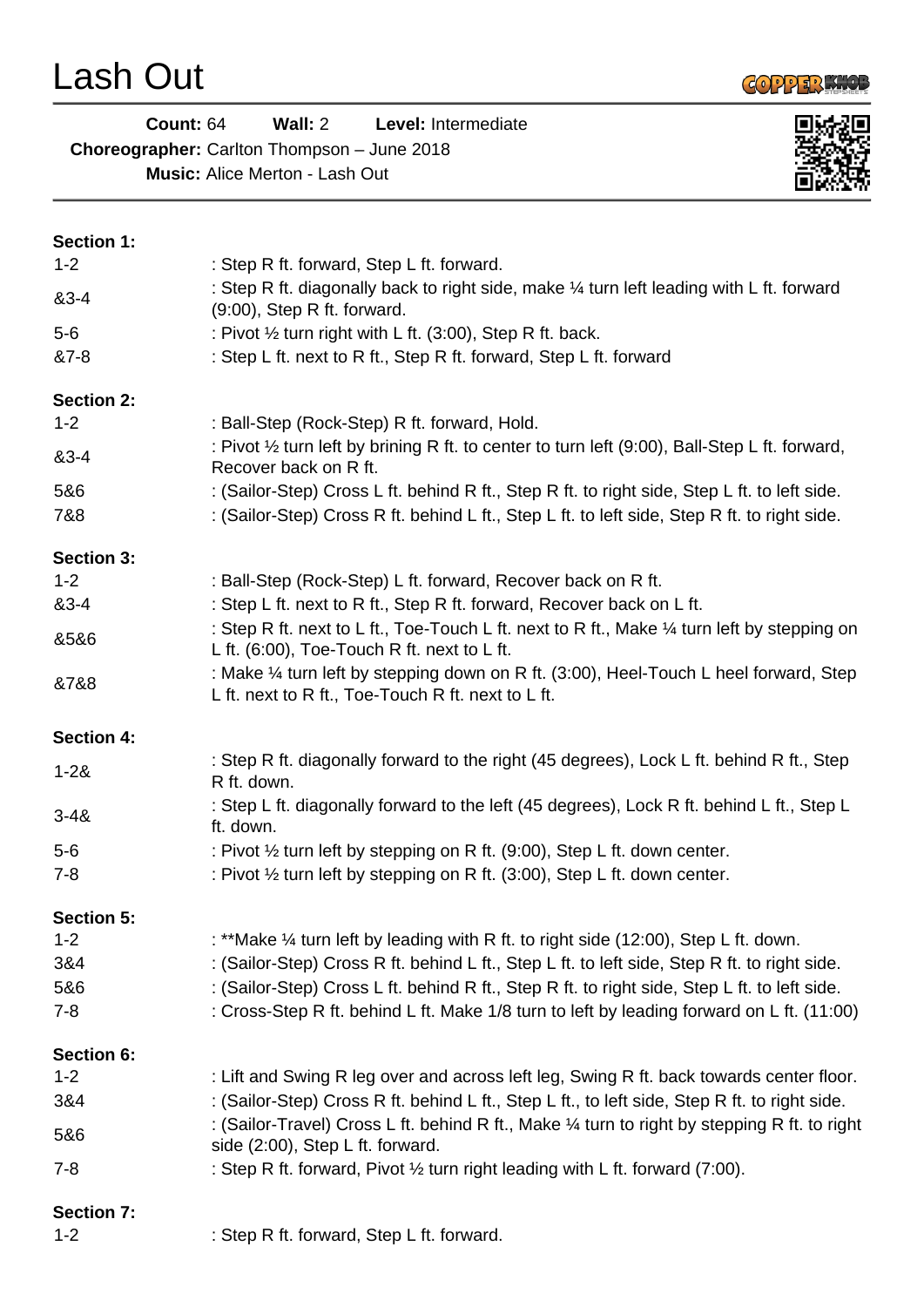Lash Out



▣

| Count: 64                                          | Wall: $2$ | <b>Level:</b> Intermediate |  |
|----------------------------------------------------|-----------|----------------------------|--|
| <b>Choreographer:</b> Carlton Thompson – June 2018 |           |                            |  |
| <b>Music:</b> Alice Merton - Lash Out              |           |                            |  |

| <b>Section 1:</b> |                                                                                                                                                |
|-------------------|------------------------------------------------------------------------------------------------------------------------------------------------|
| $1 - 2$           | : Step R ft. forward, Step L ft. forward.                                                                                                      |
| 83-4              | : Step R ft. diagonally back to right side, make 1/4 turn left leading with L ft. forward<br>$(9:00)$ , Step R ft. forward.                    |
| $5-6$             | : Pivot 1/2 turn right with L ft. (3:00), Step R ft. back.                                                                                     |
| &7-8              | : Step L ft. next to R ft., Step R ft. forward, Step L ft. forward                                                                             |
| <b>Section 2:</b> |                                                                                                                                                |
| $1 - 2$           | : Ball-Step (Rock-Step) R ft. forward, Hold.                                                                                                   |
| 83-4              | : Pivot 1/2 turn left by brining R ft. to center to turn left (9:00), Ball-Step L ft. forward,<br>Recover back on R ft.                        |
| 5&6               | : (Sailor-Step) Cross L ft. behind R ft., Step R ft. to right side, Step L ft. to left side.                                                   |
| 7&8               | : (Sailor-Step) Cross R ft. behind L ft., Step L ft. to left side, Step R ft. to right side.                                                   |
| <b>Section 3:</b> |                                                                                                                                                |
| $1 - 2$           | : Ball-Step (Rock-Step) L ft. forward, Recover back on R ft.                                                                                   |
| 83-4              | : Step L ft. next to R ft., Step R ft. forward, Recover back on L ft.                                                                          |
| 8586              | : Step R ft. next to L ft., Toe-Touch L ft. next to R ft., Make 1/4 turn left by stepping on<br>L ft. $(6:00)$ , Toe-Touch R ft. next to L ft. |
| &7&8              | : Make 1/4 turn left by stepping down on R ft. (3:00), Heel-Touch L heel forward, Step<br>L ft. next to R ft., Toe-Touch R ft. next to L ft.   |
| <b>Section 4:</b> |                                                                                                                                                |
| $1 - 28$          | : Step R ft. diagonally forward to the right (45 degrees), Lock L ft. behind R ft., Step<br>R ft. down.                                        |
| $3 - 48$          | : Step L ft. diagonally forward to the left (45 degrees), Lock R ft. behind L ft., Step L<br>ft. down.                                         |
| $5-6$             | : Pivot 1/2 turn left by stepping on R ft. (9:00), Step L ft. down center.                                                                     |
| $7 - 8$           | : Pivot 1/2 turn left by stepping on R ft. (3:00), Step L ft. down center.                                                                     |
| <b>Section 5:</b> |                                                                                                                                                |
| $1 - 2$           | : **Make 1/4 turn left by leading with R ft. to right side (12:00), Step L ft. down.                                                           |
| 3&4               | : (Sailor-Step) Cross R ft. behind L ft., Step L ft. to left side, Step R ft. to right side.                                                   |
| 5&6               | : (Sailor-Step) Cross L ft. behind R ft., Step R ft. to right side, Step L ft. to left side.                                                   |
| $7 - 8$           | : Cross-Step R ft. behind L ft. Make 1/8 turn to left by leading forward on L ft. (11:00)                                                      |
| Section 6:        |                                                                                                                                                |
| $1 - 2$           | : Lift and Swing R leg over and across left leg, Swing R ft. back towards center floor.                                                        |
| 3&4               | : (Sailor-Step) Cross R ft. behind L ft., Step L ft., to left side, Step R ft. to right side.                                                  |
| 5&6               | : (Sailor-Travel) Cross L ft. behind R ft., Make 1/4 turn to right by stepping R ft. to right<br>side (2:00), Step L ft. forward.              |
| $7 - 8$           | : Step R ft. forward, Pivot 1/2 turn right leading with L ft. forward (7:00).                                                                  |
| <b>Section 7:</b> |                                                                                                                                                |
| $1 - 2$           | : Step R ft. forward, Step L ft. forward.                                                                                                      |